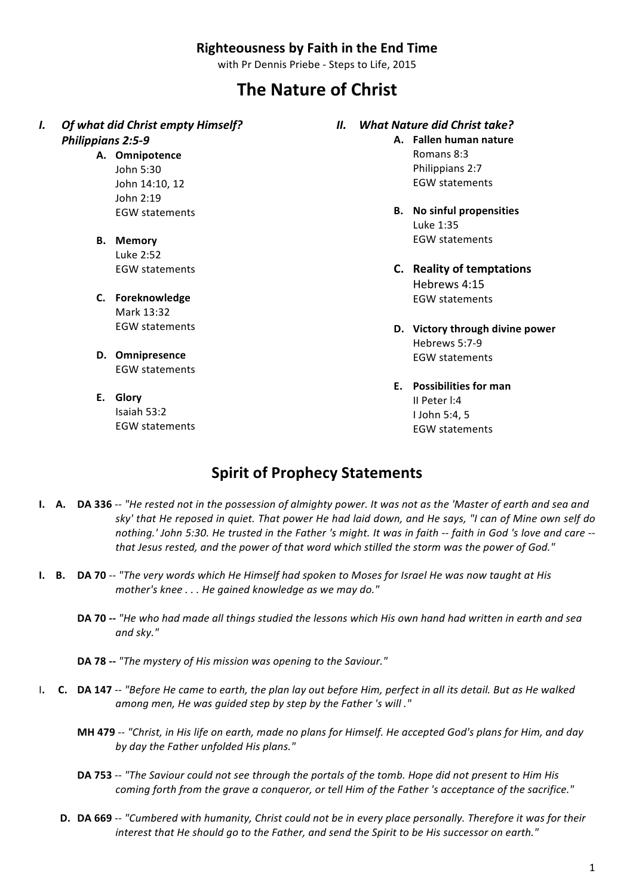#### **Righteousness by Faith in the End Time**

with Pr Dennis Priebe - Steps to Life, 2015

# **The Nature of Christ**

### *I. Of what did Christ empty Himself? Philippians 2:5-9*

- **A. Omnipotence** John 5:30 John 14:10, 12 John 2:19 EGW statements
- **B. Memory** Luke 2:52 EGW statements
- **C. Foreknowledge** Mark 13:32 EGW statements
- **D. Omnipresence** EGW statements
- **E. Glory**  Isaiah 53:2 EGW statements

#### *II. What Nature did Christ take?*

- **A. Fallen human nature**  Romans 8:3 Philippians 2:7 EGW statements
- **B.** No sinful propensities Luke 1:35 EGW statements
- **C.** Reality of temptations Hebrews 4:15 EGW statements
- **D.** Victory through divine power Hebrews 5:7-9 EGW statements
- **E.** Possibilities for man II Peter l:4 I John 5:4, 5 EGW statements

## **Spirit of Prophecy Statements**

- I. A. DA 336 -- "He rested not in the possession of almighty power. It was not as the 'Master of earth and sea and *sky' that He reposed in quiet. That power He had laid down, and He says, "I can of Mine own self do nothing.' John 5:30. He trusted in the Father 's might. It was in faith -- faith in God 's love and care - that Jesus rested, and the power of that word which stilled the storm was the power of God."*
- **I. B. DA 70** *-- "The very words which He Himself had spoken to Moses for Israel He was now taught at His mother's knee . . . He gained knowledge as we may do."* 
	- **DA 70** -- "He who had made all things studied the lessons which His own hand had written in earth and sea *and sky."*
	- **DA 78 --** "The mystery of His mission was opening to the Saviour."
- **1. C.** DA 147 -- "Before He came to earth, the plan lay out before Him, perfect in all its detail. But as He walked *among men, He was quided step by step by the Father 's will ."* 
	- **MH** 479 -- "Christ, in His life on earth, made no plans for Himself. He accepted God's plans for Him, and day *by day the Father unfolded His plans."*
	- **DA** 753 -- "The Saviour could not see through the portals of the tomb. Hope did not present to Him His *coming forth from the grave a conqueror, or tell Him of the Father 's acceptance of the sacrifice."*
	- **D. DA 669** -- "Cumbered with humanity, Christ could not be in every place personally. Therefore it was for their *interest* that He should go to the Father, and send the Spirit to be His successor on earth."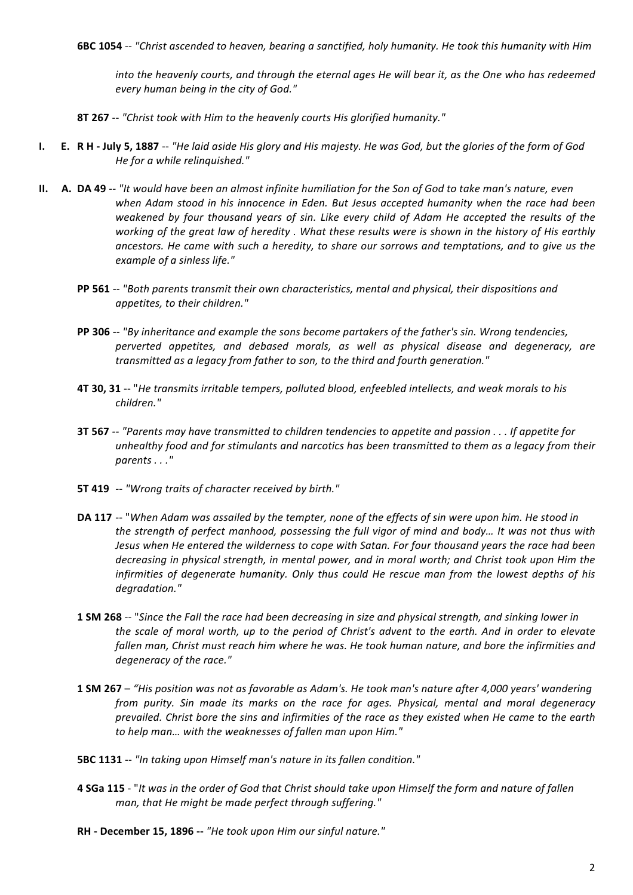*into the heavenly courts, and through the eternal ages He will bear it, as the One who has redeemed every human being in the city of God."*

8T 267 -- "Christ took with Him to the heavenly courts His glorified humanity."

- **I. E. R** H **July 5, 1887** -- "He laid aside His glory and His majesty. He was God, but the alories of the form of God *He for a while relinquished."*
- **II.** A. DA 49 -- "It would have been an almost infinite humiliation for the Son of God to take man's nature, even *when* Adam stood in his innocence in Eden. But Jesus accepted humanity when the race had been *weakened* by four thousand years of sin. Like every child of Adam He accepted the results of the *working* of the great law of heredity . What these results were is shown in the history of His earthly ancestors. He came with such a heredity, to share our sorrows and temptations, and to give us the *example of a sinless life."* 
	- **PP 561** -- "Both parents transmit their own characteristics, mental and physical, their dispositions and *appetites, to their children."*
	- **PP 306** -- *"By inheritance and example the sons become partakers of the father's sin. Wrong tendencies, perverted appetites, and debased morals, as well as physical disease and degeneracy, are transmitted* as a legacy from father to son, to the third and fourth generation."
	- **4T 30, 31** -- "*He transmits irritable tempers, polluted blood, enfeebled intellects, and weak morals to his children."*
	- **3T 567** -- "Parents may have transmitted to children tendencies to appetite and passion . . . If appetite for unhealthy food and for stimulants and narcotics has been transmitted to them as a legacy from their parents . . ."
	- **5T 419** *-- "Wrong traits of character received by birth."*
	- **DA 117** -- "When Adam was assailed by the tempter, none of the effects of sin were upon him. He stood in *the strength of perfect manhood, possessing the full vigor of mind and body... It was not thus with Jesus when He entered the wilderness to cope with Satan. For four thousand years the race had been decreasing in physical strength, in mental power, and in moral worth; and Christ took upon Him the infirmities of degenerate humanity. Only thus could He rescue man from the lowest depths of his degradation."*
	- **1 SM 268** -- "*Since the Fall the race had been decreasing in size and physical strength, and sinking lower in the scale of moral worth, up to the period of Christ's advent to the earth. And in order to elevate fallen man, Christ must reach him where he was. He took human nature, and bore the infirmities and degeneracy of the race."*
	- **1 SM 267** "His position was not as favorable as Adam's. He took man's nature after 4,000 years' wandering *from purity. Sin made its marks on the race for ages. Physical, mental and moral degeneracy prevailed. Christ bore the sins and infirmities of the race as they existed when He came to the earth* to help man... with the weaknesses of fallen man upon Him."
	- **5BC 1131** -- *"In taking upon Himself man's nature in its fallen condition."*
	- **4 SGa 115** "*It was in the order of God that Christ should take upon Himself the form and nature of fallen man, that He might be made perfect through suffering."*
	- **RH - December 15, 1896 --** *"He took upon Him our sinful nature."*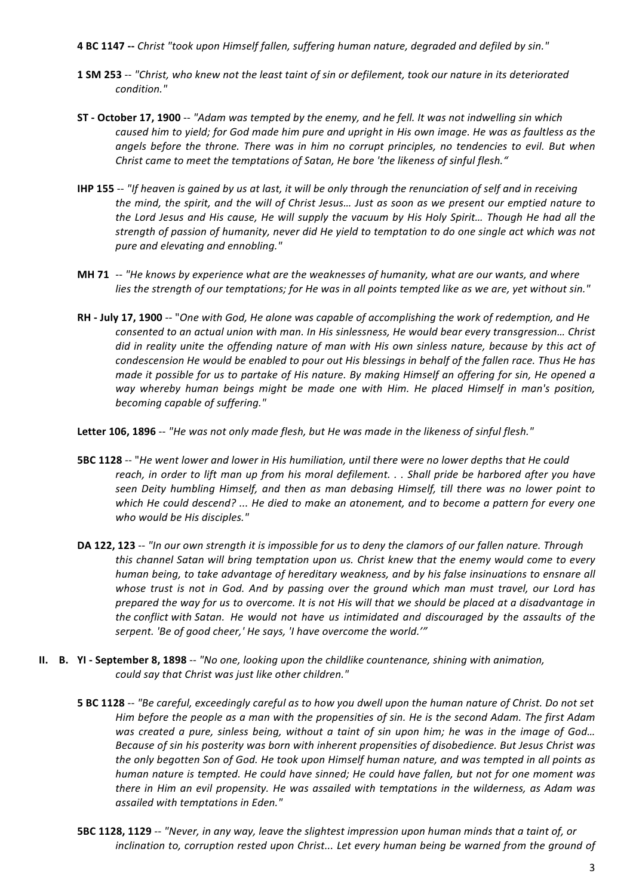**4 BC 1147 --** *Christ "took upon Himself fallen, suffering human nature, degraded and defiled by sin."*

- **1 SM 253** -- *"Christ, who knew not the least taint of sin or defilement, took our nature in its deteriorated condition."*
- **ST** October 17, 1900 -- "Adam was tempted by the enemy, and he fell. It was not indwelling sin which *caused him to yield; for God made him pure and upright in His own image. He was as faultless as the angels before the throne. There was in him no corrupt principles, no tendencies to evil. But when Christ came to meet the temptations of Satan, He bore 'the likeness of sinful flesh."*
- IHP 155 -- "If heaven is gained by us at last, it will be only through the renunciation of self and in receiving *the mind, the spirit, and the will of Christ Jesus… Just as soon as we present our emptied nature to the Lord Jesus and His cause, He will supply the vacuum by His Holy Spirit… Though He had all the strength of passion of humanity, never did He yield to temptation to do one single act which was not pure and elevating and ennobling."*
- **MH 71** -- *"He knows by experience what are the weaknesses of humanity, what are our wants, and where lies* the strength of our temptations; for He was in all points tempted like as we are, yet without sin."
- **RH - July 17, 1900** -- "*One with God, He alone was capable of accomplishing the work of redemption, and He consented to an actual union with man. In His sinlessness, He would bear every transgression… Christ did in reality unite the offending nature of man with His own sinless nature, because by this act of condescension He would be enabled to pour out His blessings in behalf of the fallen race. Thus He has made* it possible for us to partake of His nature. By making Himself an offering for sin, He opened a *way whereby human beings might be made one with Him. He placed Himself in man's position, becoming capable of suffering."*
- **Letter 106, 1896** -- *"He was not only made flesh, but He was made in the likeness of sinful flesh."*
- **5BC 1128** -- "*He* went lower and lower in His humiliation, until there were no lower depths that He could reach, in order to lift man up from his moral defilement. . . Shall pride be harbored after you have seen Deity humbling Himself, and then as man debasing Himself, till there was no lower point to which He could descend? ... He died to make an atonement, and to become a pattern for every one *who would be His disciples."*
- DA 122, 123 -- "In our own strenath it is impossible for us to deny the clamors of our fallen nature. Through *this channel Satan will bring temptation upon us. Christ knew that the enemy would come to every human being, to take advantage of hereditary weakness, and by his false insinuations to ensnare all whose trust is not in God. And by passing over the ground which man must travel, our Lord has prepared* the way for us to overcome. It is not His will that we should be placed at a disadvantage in *the conflict with Satan. He would not have us intimidated and discouraged by the assaults of the serpent. 'Be of good cheer,' He says, 'I have overcome the world.'"*
- **II.** B. YI September 8, 1898 -- "No one, looking upon the childlike countenance, shining with animation, *could say that Christ was just like other children."* 
	- **5 BC 1128** -- *"Be careful, exceedingly careful as to how you dwell upon the human nature of Christ. Do not set Him before the people* as a man with the propensities of sin. He is the second Adam. The first Adam was created a pure, sinless being, without a taint of sin upon him; he was in the image of God... *Because of sin his posterity was born with inherent propensities of disobedience. But Jesus Christ was*  the only begotten Son of God. He took upon Himself human nature, and was tempted in all points as *human* nature is tempted. He could have sinned; He could have fallen, but not for one moment was *there in Him an evil propensity. He was assailed with temptations in the wilderness, as Adam was assailed with temptations in Eden."*
	- **5BC 1128, 1129** -- "Never, in any way, leave the slightest impression upon human minds that a taint of, or inclination to, corruption rested upon Christ... Let every human being be warned from the ground of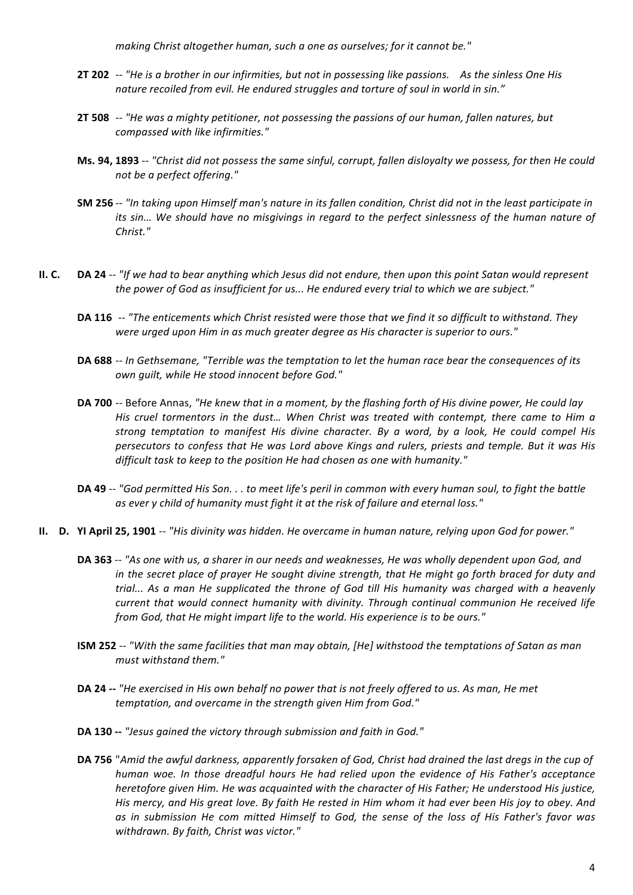*making Christ altogether human, such a one as ourselves; for it cannot be."* 

- **2T 202** -- "He is a brother in our infirmities, but not in possessing like passions. As the sinless One His nature recoiled from evil. He endured struggles and torture of soul in world in sin."
- **2T 508** -- "He was a mighty petitioner, not possessing the passions of our human, fallen natures, but *compassed with like infirmities."*
- **Ms. 94, 1893** -- "Christ did not possess the same sinful, corrupt, fallen disloyalty we possess, for then He could *not be a perfect offering."*
- **SM 256** -- "In taking upon Himself man's nature in its fallen condition, Christ did not in the least participate in *its* sin... We should have no misaivings in regard to the perfect sinlessness of the human nature of *Christ."*
- II. C. DA 24 -- "If we had to bear anything which Jesus did not endure, then upon this point Satan would represent *the power of God as insufficient for us... He endured every trial to which we are subject."*
	- **DA 116** -- "The enticements which Christ resisted were those that we find it so difficult to withstand. They *were urged upon Him in as much greater degree as His character is superior to ours."*
	- **DA 688** -- In Gethsemane, "Terrible was the temptation to let the human race bear the consequences of its *own guilt, while He stood innocent before God."*
	- **DA 700** -- Before Annas, "He knew that in a moment, by the flashing forth of His divine power, He could lay *His* cruel tormentors in the dust... When Christ was treated with contempt, there came to Him a *strong temptation to manifest His divine character. By a word, by a look, He could compel His persecutors* to confess that He was Lord above Kings and rulers, priests and temple. But it was His difficult task to keep to the position He had chosen as one with humanity."
	- **DA 49** -- "God permitted His Son. . . to meet life's peril in common with every human soul, to fight the battle *as ever y child of humanity must fight it at the risk of failure and eternal loss."*
- **II.** D. YI April 25, 1901 -- "His divinity was hidden. He overcame in human nature, relying upon God for power."
	- **DA 363** -- "As one with us, a sharer in our needs and weaknesses, He was wholly dependent upon God, and *in* the secret place of prayer He sought divine strength, that He might go forth braced for duty and *trial... As a man He supplicated the throne of God till His humanity was charged with a heavenly current that would connect humanity with divinity. Through continual communion He received life from God, that He might impart life to the world. His experience is to be ours."*
	- **ISM** 252 -- "With the same facilities that man may obtain, [He] withstood the temptations of Satan as man *must withstand them."*
	- **DA 24** *-- "He exercised in His own behalf no power that is not freely offered to us. As man, He met temptation, and overcame in the strength given Him from God."*
	- **DA 130** -- "Jesus gained the victory through submission and faith in God."
	- **DA 756** "Amid the awful darkness, apparently forsaken of God, Christ had drained the last dregs in the cup of *human woe. In those dreadful hours He had relied upon the evidence of His Father's acceptance heretofore given Him. He was acquainted with the character of His Father; He understood His justice, His* mercy, and His great love. By faith He rested in Him whom it had ever been His joy to obey. And *as in submission He com mitted Himself to God, the sense of the loss of His Father's favor was withdrawn. By faith, Christ was victor."*